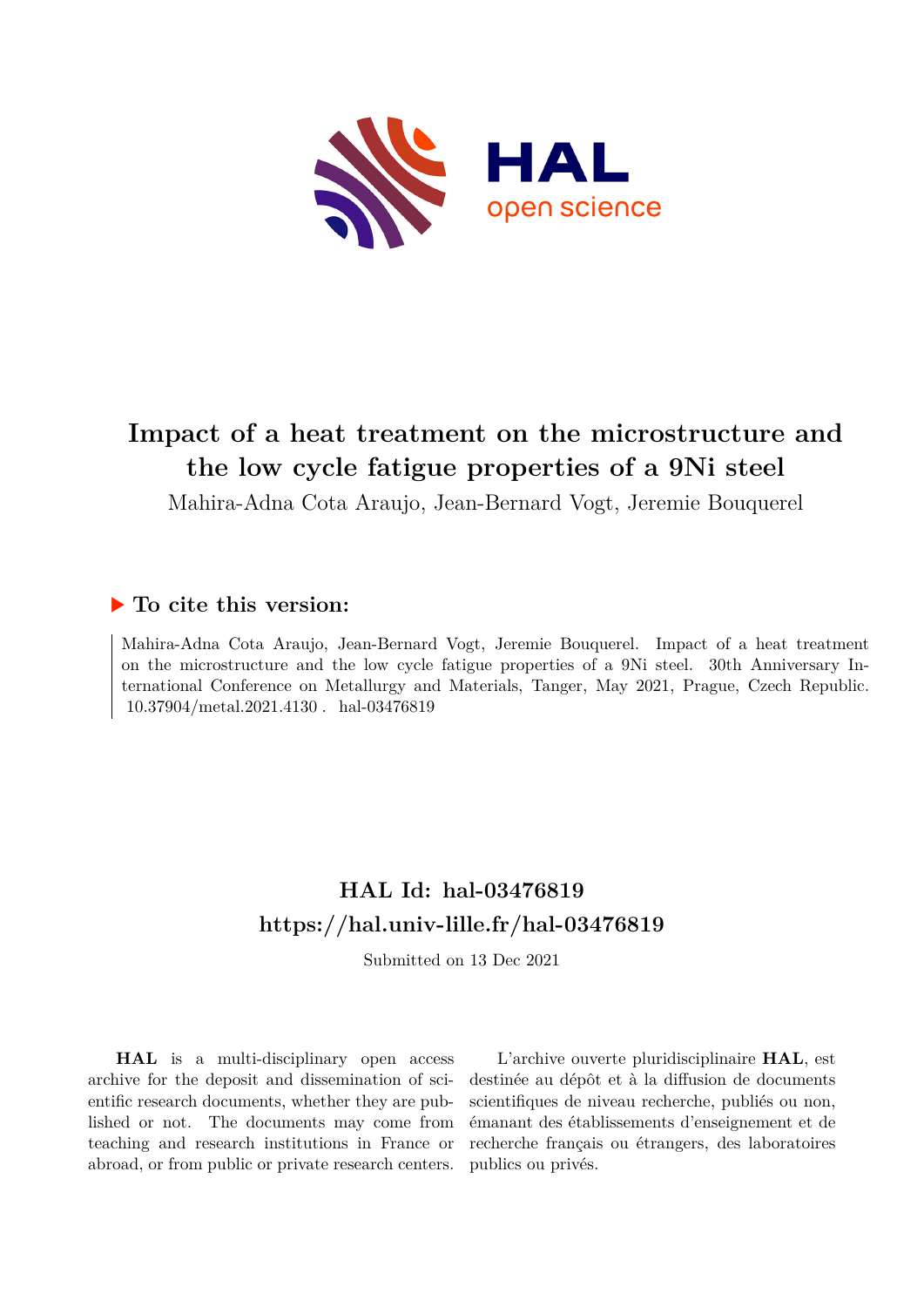

# **Impact of a heat treatment on the microstructure and the low cycle fatigue properties of a 9Ni steel**

Mahira-Adna Cota Araujo, Jean-Bernard Vogt, Jeremie Bouquerel

## **To cite this version:**

Mahira-Adna Cota Araujo, Jean-Bernard Vogt, Jeremie Bouquerel. Impact of a heat treatment on the microstructure and the low cycle fatigue properties of a 9Ni steel. 30th Anniversary International Conference on Metallurgy and Materials, Tanger, May 2021, Prague, Czech Republic.  $10.37904/metal.2021.4130$ . hal-03476819

## **HAL Id: hal-03476819 <https://hal.univ-lille.fr/hal-03476819>**

Submitted on 13 Dec 2021

**HAL** is a multi-disciplinary open access archive for the deposit and dissemination of scientific research documents, whether they are published or not. The documents may come from teaching and research institutions in France or abroad, or from public or private research centers.

L'archive ouverte pluridisciplinaire **HAL**, est destinée au dépôt et à la diffusion de documents scientifiques de niveau recherche, publiés ou non, émanant des établissements d'enseignement et de recherche français ou étrangers, des laboratoires publics ou privés.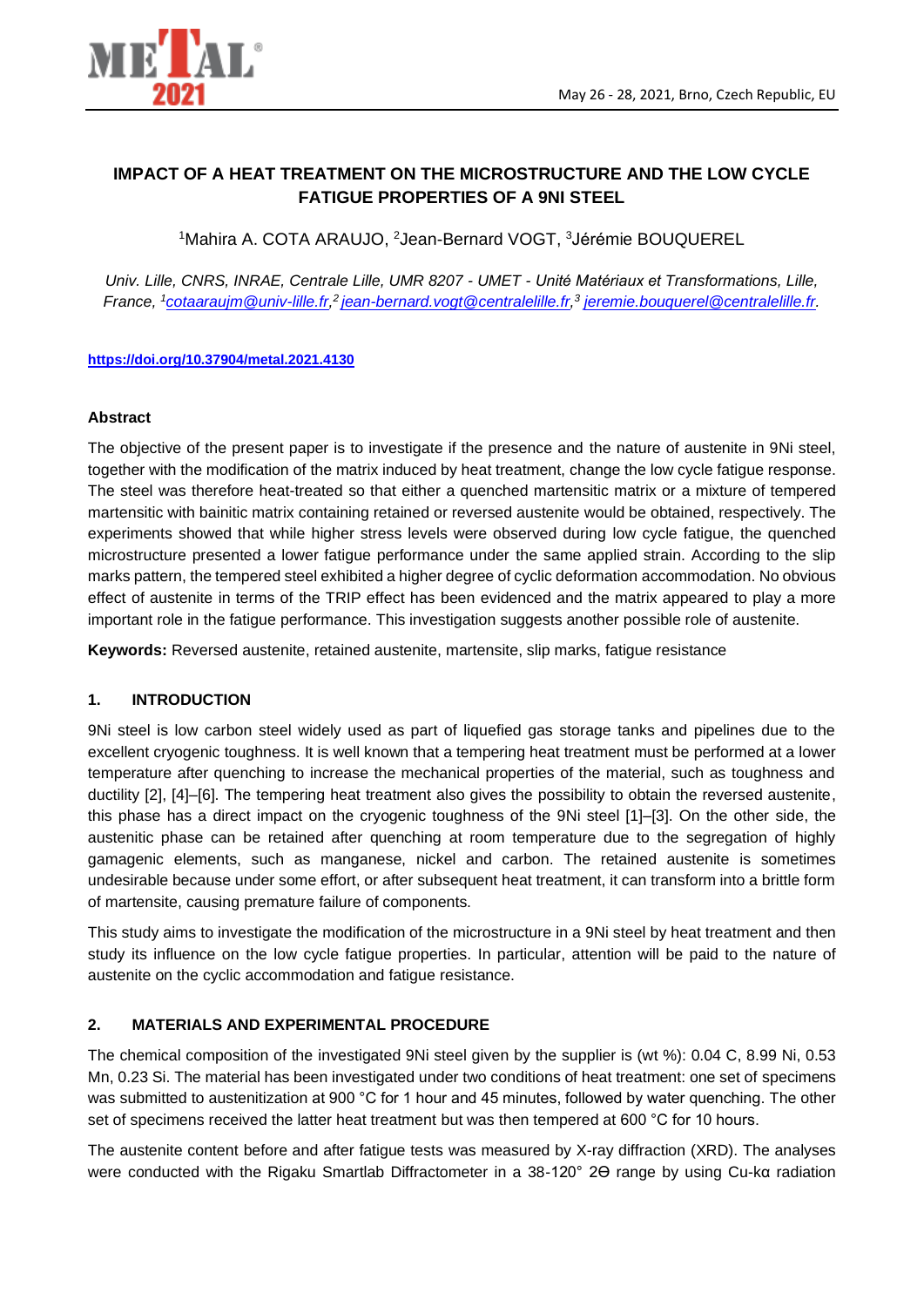

### **IMPACT OF A HEAT TREATMENT ON THE MICROSTRUCTURE AND THE LOW CYCLE FATIGUE PROPERTIES OF A 9NI STEEL**

<sup>1</sup>Mahira A. COTA ARAUJO, <sup>2</sup>Jean-Bernard VOGT, <sup>3</sup>Jérémie BOUQUEREL

*Univ. Lille, CNRS, INRAE, Centrale Lille, UMR 8207 - UMET - Unité Matériaux et Transformations, Lille, France, <sup>1</sup>[cotaaraujm@univ-lille.fr,](mailto:cotaaraujm@univ-lille.fr) <sup>2</sup>[jean-bernard.vogt@centralelille.fr,](mailto:jean-bernard.vogt@centralelille.fr) 3 [jeremie.bouquerel@centralelille.fr.](mailto:jeremie.bouquerel@centralelille.fr)* 

#### **<https://doi.org/10.37904/metal.2021.4130>**

#### **Abstract**

The objective of the present paper is to investigate if the presence and the nature of austenite in 9Ni steel, together with the modification of the matrix induced by heat treatment, change the low cycle fatigue response. The steel was therefore heat-treated so that either a quenched martensitic matrix or a mixture of tempered martensitic with bainitic matrix containing retained or reversed austenite would be obtained, respectively. The experiments showed that while higher stress levels were observed during low cycle fatigue, the quenched microstructure presented a lower fatigue performance under the same applied strain. According to the slip marks pattern, the tempered steel exhibited a higher degree of cyclic deformation accommodation. No obvious effect of austenite in terms of the TRIP effect has been evidenced and the matrix appeared to play a more important role in the fatigue performance. This investigation suggests another possible role of austenite.

**Keywords:** Reversed austenite, retained austenite, martensite, slip marks, fatigue resistance

#### **1. INTRODUCTION**

9Ni steel is low carbon steel widely used as part of liquefied gas storage tanks and pipelines due to the excellent cryogenic toughness. It is well known that a tempering heat treatment must be performed at a lower temperature after quenching to increase the mechanical properties of the material, such as toughness and ductility [2], [4]–[6]. The tempering heat treatment also gives the possibility to obtain the reversed austenite, this phase has a direct impact on the cryogenic toughness of the 9Ni steel [1]–[3]. On the other side, the austenitic phase can be retained after quenching at room temperature due to the segregation of highly gamagenic elements, such as manganese, nickel and carbon. The retained austenite is sometimes undesirable because under some effort, or after subsequent heat treatment, it can transform into a brittle form of martensite, causing premature failure of components.

This study aims to investigate the modification of the microstructure in a 9Ni steel by heat treatment and then study its influence on the low cycle fatigue properties. In particular, attention will be paid to the nature of austenite on the cyclic accommodation and fatigue resistance.

#### **2. MATERIALS AND EXPERIMENTAL PROCEDURE**

The chemical composition of the investigated 9Ni steel given by the supplier is (wt %): 0.04 C, 8.99 Ni, 0.53 Mn, 0.23 Si. The material has been investigated under two conditions of heat treatment: one set of specimens was submitted to austenitization at 900 °C for 1 hour and 45 minutes, followed by water quenching. The other set of specimens received the latter heat treatment but was then tempered at 600 °C for 10 hours.

The austenite content before and after fatigue tests was measured by X-ray diffraction (XRD). The analyses were conducted with the Rigaku Smartlab Diffractometer in a 38-120° 2Θ range by using Cu-kα radiation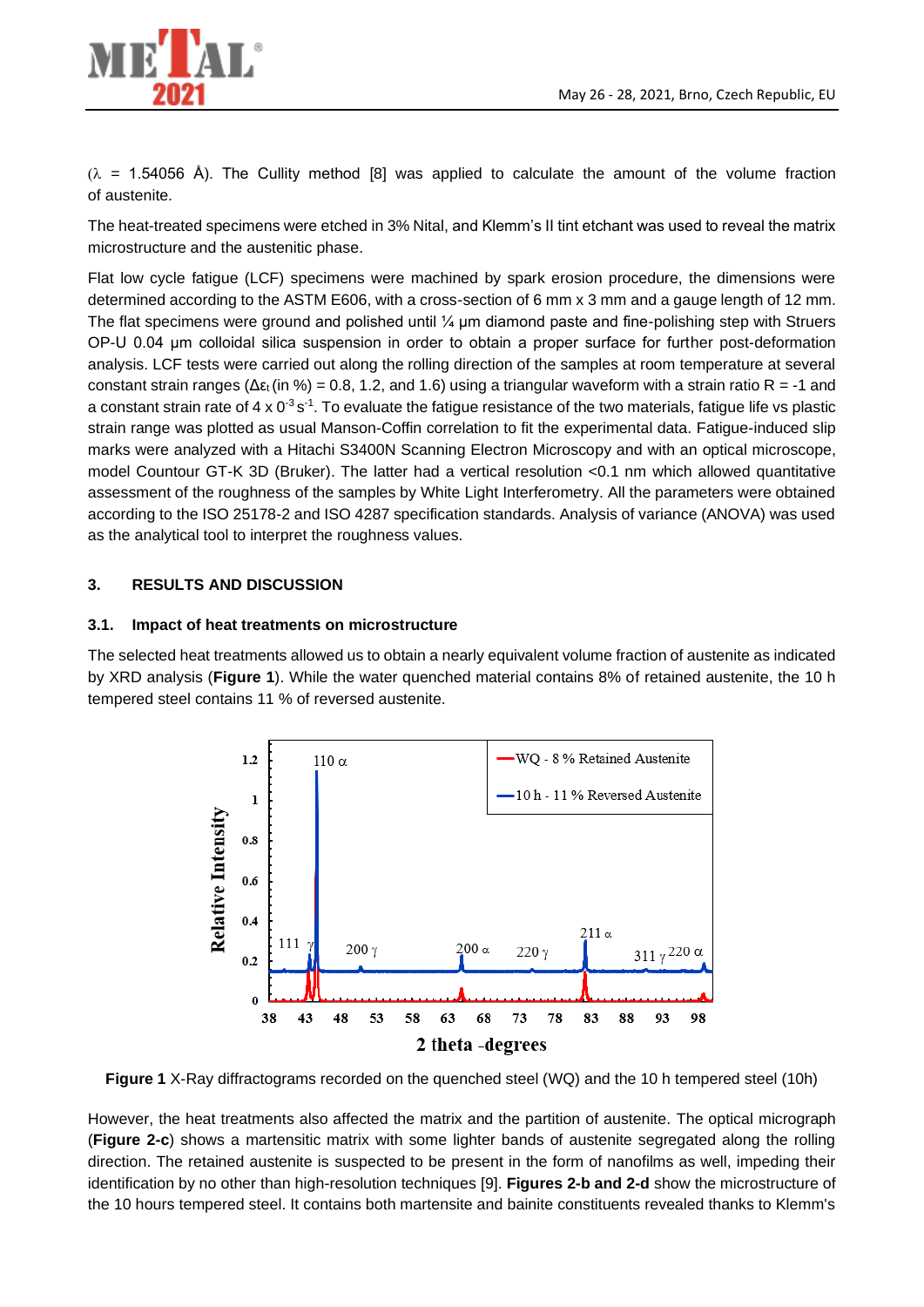

 $(\lambda = 1.54056 \text{ Å})$ . The Cullity method [8] was applied to calculate the amount of the volume fraction of austenite.

The heat-treated specimens were etched in 3% Nital, and Klemm's II tint etchant was used to reveal the matrix microstructure and the austenitic phase.

Flat low cycle fatigue (LCF) specimens were machined by spark erosion procedure, the dimensions were determined according to the ASTM E606, with a cross-section of 6 mm x 3 mm and a gauge length of 12 mm. The flat specimens were ground and polished until  $\frac{1}{4}$  µm diamond paste and fine-polishing step with Struers OP-U 0.04 µm colloidal silica suspension in order to obtain a proper surface for further post-deformation analysis. LCF tests were carried out along the rolling direction of the samples at room temperature at several constant strain ranges (Δε<sub>t</sub>(in %) = 0.8, 1.2, and 1.6) using a triangular waveform with a strain ratio R = -1 and a constant strain rate of 4 x  $0<sup>-3</sup> s<sup>-1</sup>$ . To evaluate the fatigue resistance of the two materials, fatigue life vs plastic strain range was plotted as usual Manson-Coffin correlation to fit the experimental data. Fatigue-induced slip marks were analyzed with a Hitachi S3400N Scanning Electron Microscopy and with an optical microscope, model Countour GT-K 3D (Bruker). The latter had a vertical resolution <0.1 nm which allowed quantitative assessment of the roughness of the samples by White Light Interferometry. All the parameters were obtained according to the ISO 25178-2 and ISO 4287 specification standards. Analysis of variance (ANOVA) was used as the analytical tool to interpret the roughness values.

#### **3. RESULTS AND DISCUSSION**

#### **3.1. Impact of heat treatments on microstructure**

The selected heat treatments allowed us to obtain a nearly equivalent volume fraction of austenite as indicated by XRD analysis (**Figure 1**). While the water quenched material contains 8% of retained austenite, the 10 h tempered steel contains 11 % of reversed austenite.



**Figure 1** X-Ray diffractograms recorded on the quenched steel (WQ) and the 10 h tempered steel (10h)

However, the heat treatments also affected the matrix and the partition of austenite. The optical micrograph (**Figure 2-c**) shows a martensitic matrix with some lighter bands of austenite segregated along the rolling direction. The retained austenite is suspected to be present in the form of nanofilms as well, impeding their identification by no other than high-resolution techniques [9]. **Figures 2-b and 2-d** show the microstructure of the 10 hours tempered steel. It contains both martensite and bainite constituents revealed thanks to Klemm's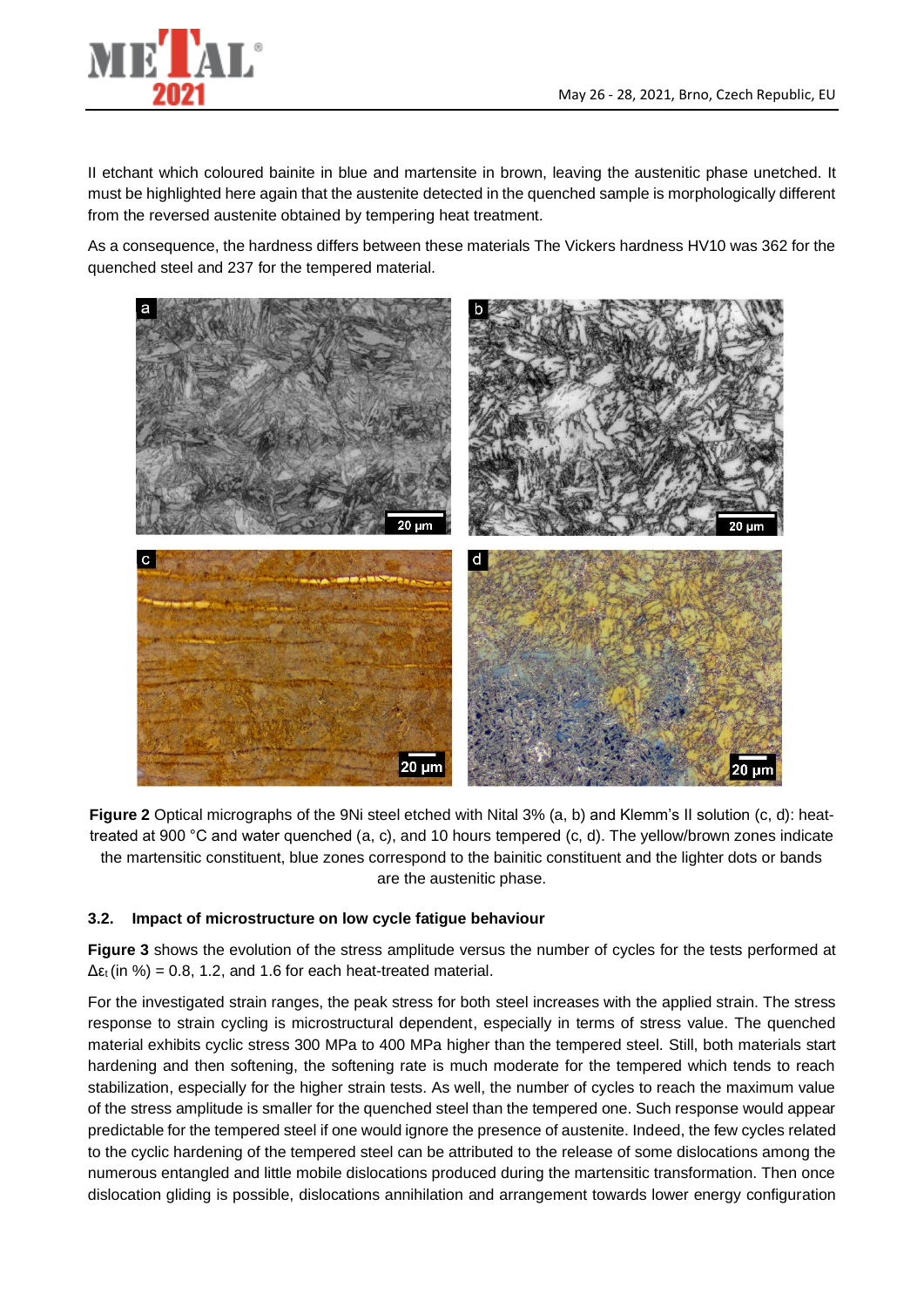

II etchant which coloured bainite in blue and martensite in brown, leaving the austenitic phase unetched. It must be highlighted here again that the austenite detected in the quenched sample is morphologically different from the reversed austenite obtained by tempering heat treatment.

As a consequence, the hardness differs between these materials The Vickers hardness HV10 was 362 for the quenched steel and 237 for the tempered material.



**Figure 2** Optical micrographs of the 9Ni steel etched with Nital 3% (a, b) and Klemm's II solution (c, d): heattreated at 900 °C and water quenched (a, c), and 10 hours tempered (c, d). The yellow/brown zones indicate the martensitic constituent, blue zones correspond to the bainitic constituent and the lighter dots or bands are the austenitic phase.

#### **3.2. Impact of microstructure on low cycle fatigue behaviour**

**Figure 3** shows the evolution of the stress amplitude versus the number of cycles for the tests performed at  $\Delta \epsilon_t$  (in %) = 0.8, 1.2, and 1.6 for each heat-treated material.

For the investigated strain ranges, the peak stress for both steel increases with the applied strain. The stress response to strain cycling is microstructural dependent, especially in terms of stress value. The quenched material exhibits cyclic stress 300 MPa to 400 MPa higher than the tempered steel. Still, both materials start hardening and then softening, the softening rate is much moderate for the tempered which tends to reach stabilization, especially for the higher strain tests. As well, the number of cycles to reach the maximum value of the stress amplitude is smaller for the quenched steel than the tempered one. Such response would appear predictable for the tempered steel if one would ignore the presence of austenite. Indeed, the few cycles related to the cyclic hardening of the tempered steel can be attributed to the release of some dislocations among the numerous entangled and little mobile dislocations produced during the martensitic transformation. Then once dislocation gliding is possible, dislocations annihilation and arrangement towards lower energy configuration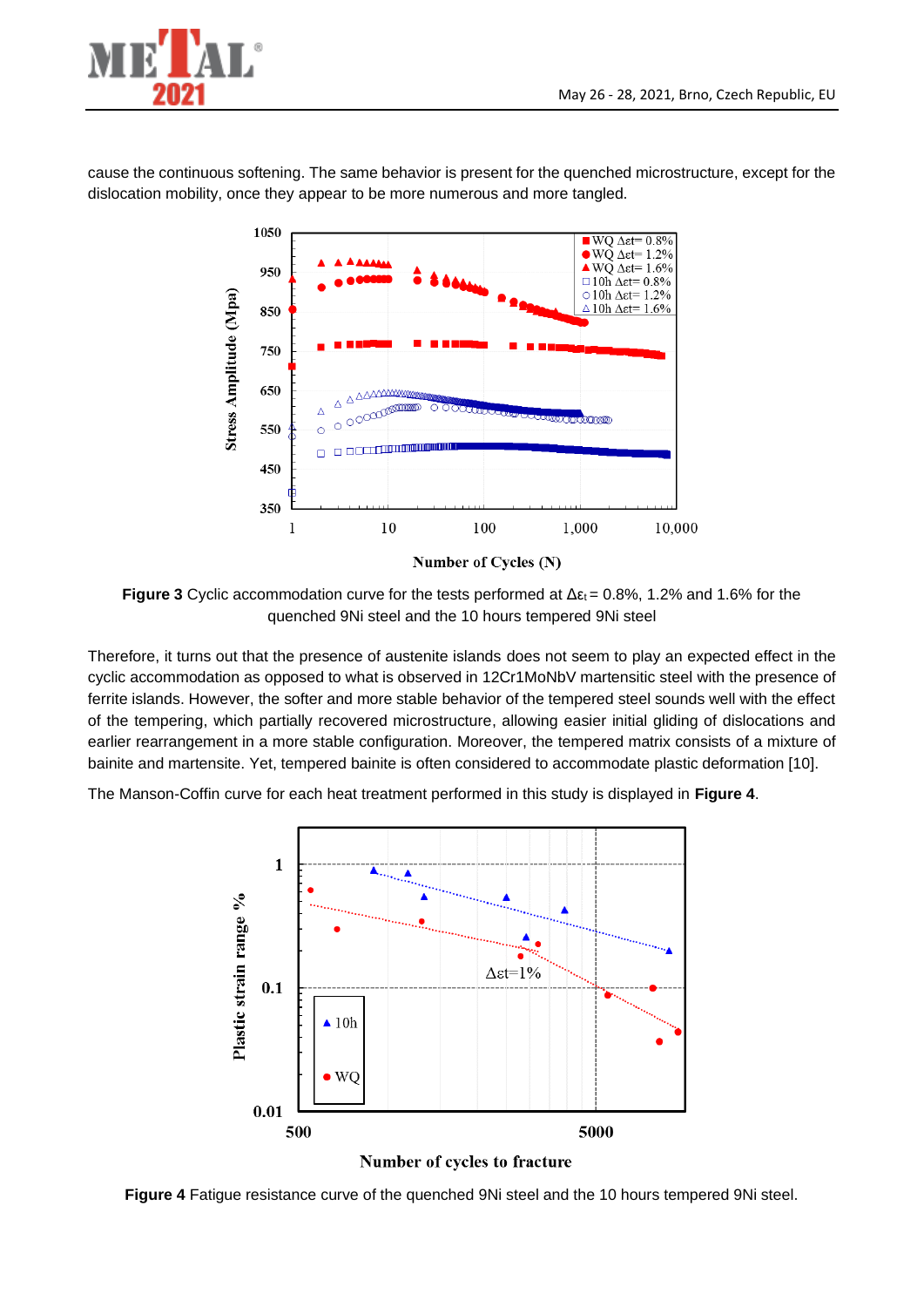

cause the continuous softening. The same behavior is present for the quenched microstructure, except for the dislocation mobility, once they appear to be more numerous and more tangled.



**Figure 3** Cyclic accommodation curve for the tests performed at  $\Delta \epsilon_t = 0.8\%$ , 1.2% and 1.6% for the quenched 9Ni steel and the 10 hours tempered 9Ni steel

Therefore, it turns out that the presence of austenite islands does not seem to play an expected effect in the cyclic accommodation as opposed to what is observed in 12Cr1MoNbV martensitic steel with the presence of ferrite islands. However, the softer and more stable behavior of the tempered steel sounds well with the effect of the tempering, which partially recovered microstructure, allowing easier initial gliding of dislocations and earlier rearrangement in a more stable configuration. Moreover, the tempered matrix consists of a mixture of bainite and martensite. Yet, tempered bainite is often considered to accommodate plastic deformation [10].

The Manson-Coffin curve for each heat treatment performed in this study is displayed in **Figure 4**.



**Figure 4** Fatigue resistance curve of the quenched 9Ni steel and the 10 hours tempered 9Ni steel.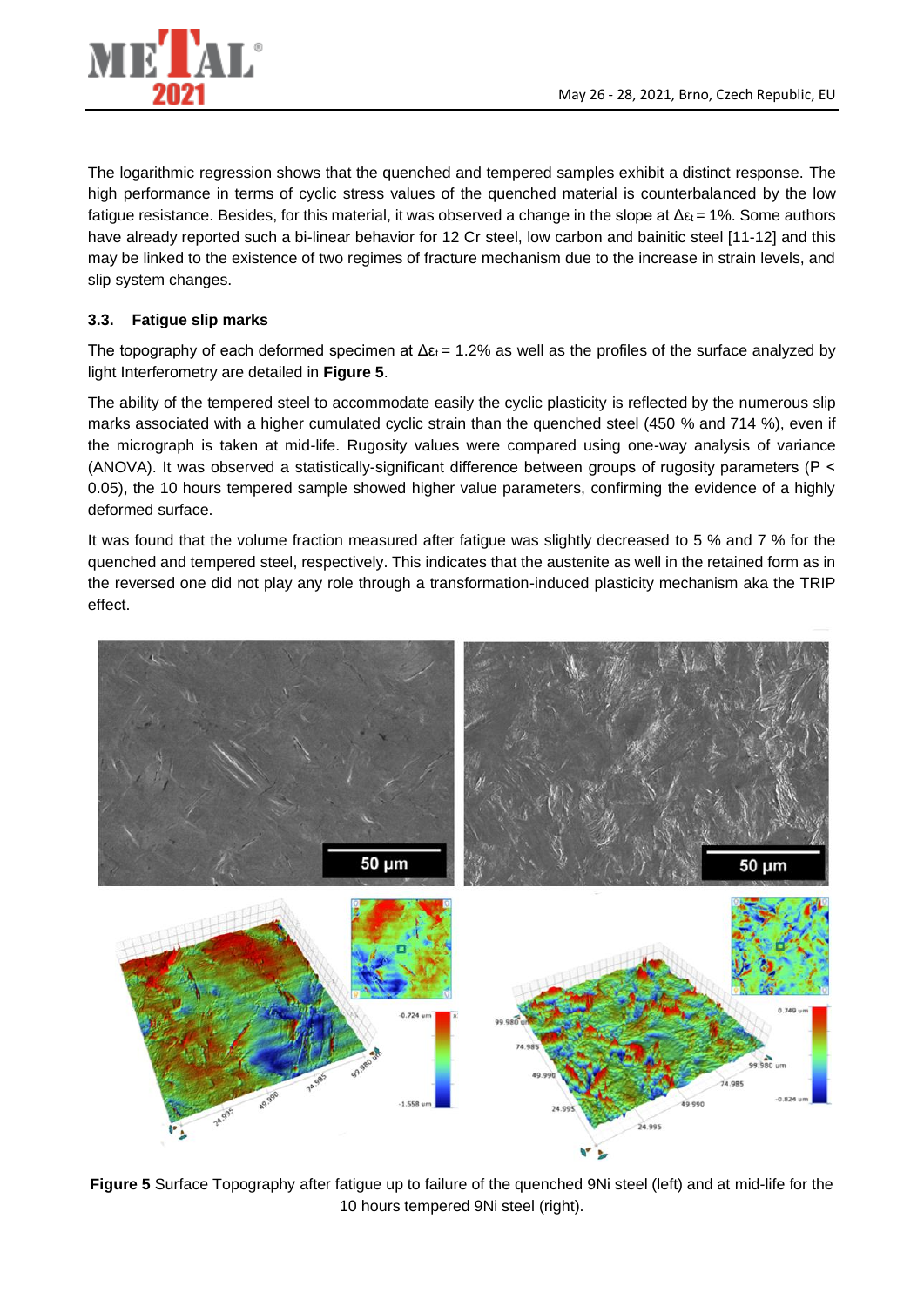

The logarithmic regression shows that the quenched and tempered samples exhibit a distinct response. The high performance in terms of cyclic stress values of the quenched material is counterbalanced by the low fatigue resistance. Besides, for this material, it was observed a change in the slope at  $\Delta \epsilon_1 = 1\%$ . Some authors have already reported such a bi-linear behavior for 12 Cr steel, low carbon and bainitic steel [11-12] and this may be linked to the existence of two regimes of fracture mechanism due to the increase in strain levels, and slip system changes.

#### **3.3. Fatigue slip marks**

The topography of each deformed specimen at  $\Delta \varepsilon_1 = 1.2\%$  as well as the profiles of the surface analyzed by light Interferometry are detailed in **Figure 5**.

The ability of the tempered steel to accommodate easily the cyclic plasticity is reflected by the numerous slip marks associated with a higher cumulated cyclic strain than the quenched steel (450 % and 714 %), even if the micrograph is taken at mid-life. Rugosity values were compared using one-way analysis of variance (ANOVA). It was observed a statistically-significant difference between groups of rugosity parameters (P < 0.05), the 10 hours tempered sample showed higher value parameters, confirming the evidence of a highly deformed surface.

It was found that the volume fraction measured after fatigue was slightly decreased to 5 % and 7 % for the quenched and tempered steel, respectively. This indicates that the austenite as well in the retained form as in the reversed one did not play any role through a transformation-induced plasticity mechanism aka the TRIP effect.



**Figure 5** Surface Topography after fatigue up to failure of the quenched 9Ni steel (left) and at mid-life for the 10 hours tempered 9Ni steel (right).